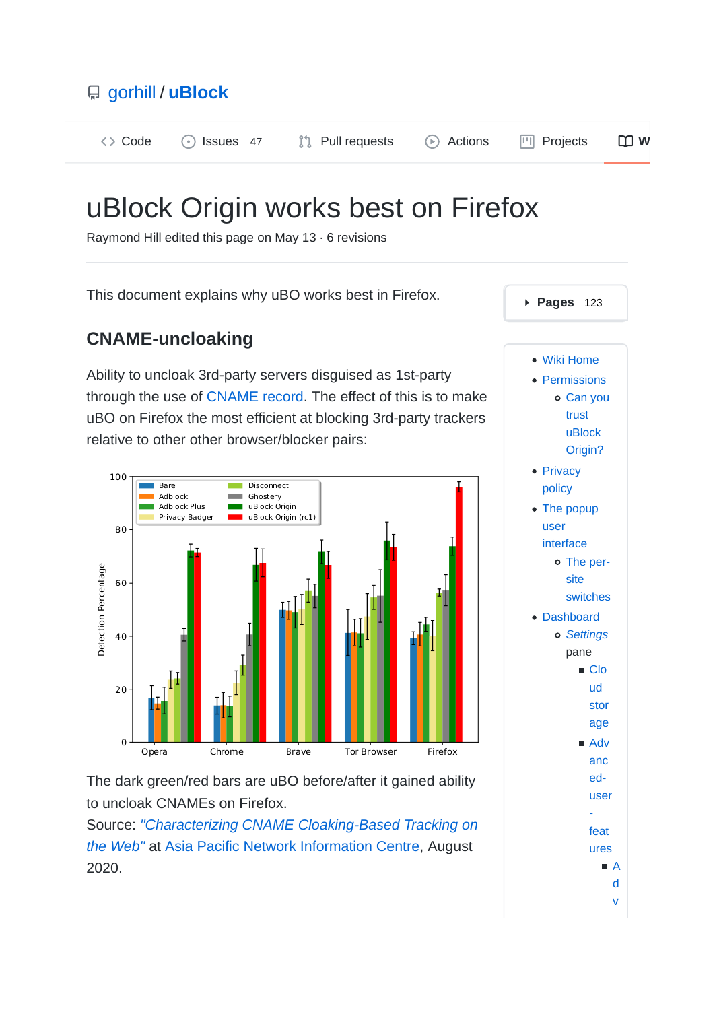

# uBlock Origin works best on Firefox

Raymond Hill edited this page on May 13 · 6 revisions

This document explains why uBO works best in Firefox.

### **CNAME-uncloaking**

Ability to uncloak 3rd-party servers disguised as 1st-party through the use of CNAME record. The effect of this is to make uBO on Firefox the most efficient at blocking 3rd-party trackers relative to other other browser/blocker pairs:



The dark green/red bars are uBO before/after it gained ability to uncloak CNAMEs on Firefox.

Source: *"Characterizing CNAME Cloaking-Based Tracking on the Web"* at Asia Pacific Network Information Centre, August 2020.

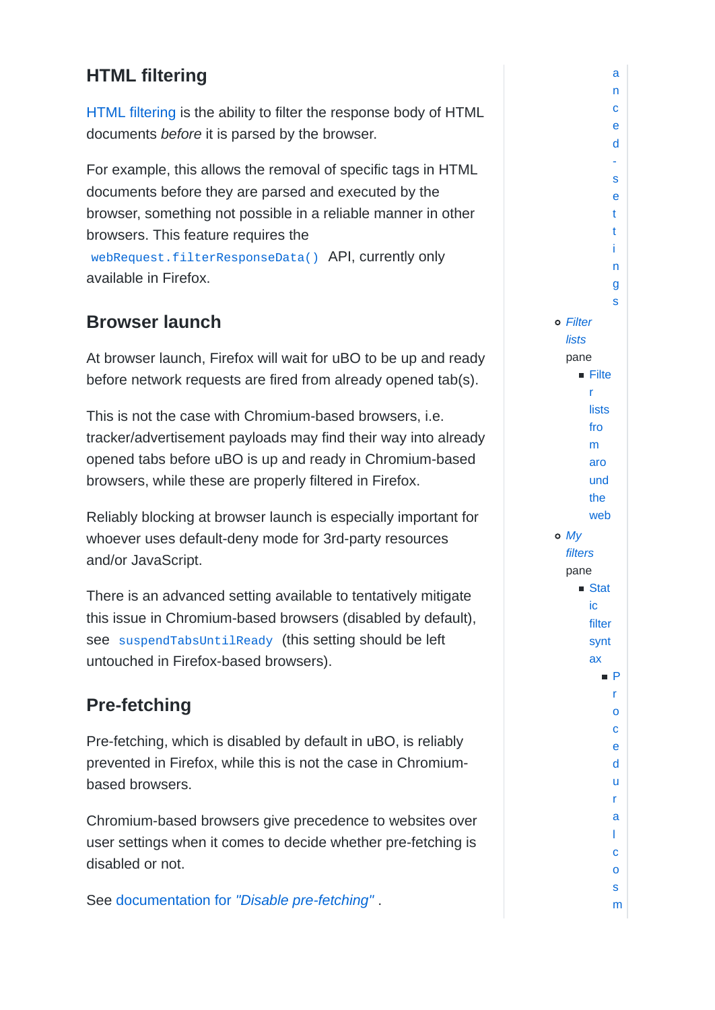# **HTML filtering**

HTML filtering is the ability to filter the response body of HTML documents *before* it is parsed by the browser.

For example, this allows the removal of specific tags in HTML documents before they are parsed and executed by the browser, something not possible in a reliable manner in other browsers. This feature requires the webRequest.filterResponseData() API, currently only available in Firefox.

# **Browser launch**

At browser launch, Firefox will wait for uBO to be up and ready before network requests are fired from already opened tab(s).

This is not the case with Chromium-based browsers, i.e. tracker/advertisement payloads may find their way into already opened tabs before uBO is up and ready in Chromium-based browsers, while these are properly filtered in Firefox.

Reliably blocking at browser launch is especially important for whoever uses default-deny mode for 3rd-party resources and/or JavaScript.

There is an advanced setting available to tentatively mitigate this issue in Chromium-based browsers (disabled by default), see suspendTabsUntilReady (this setting should be left untouched in Firefox-based browsers).

# **Pre-fetching**

Pre-fetching, which is disabled by default in uBO, is reliably prevented in Firefox, while this is not the case in Chromiumbased browsers.

Chromium-based browsers give precedence to websites over user settings when it comes to decide whether pre-fetching is disabled or not.

See documentation for *"Disable pre-fetching"* .

c e d s e t t i n g s *Filter lists* pane  $\blacksquare$  Filte r **lists** fro m aro und the web *My filters* pane ■ Stat ic filter synt ax P r o c e d u r a l c o s m

a n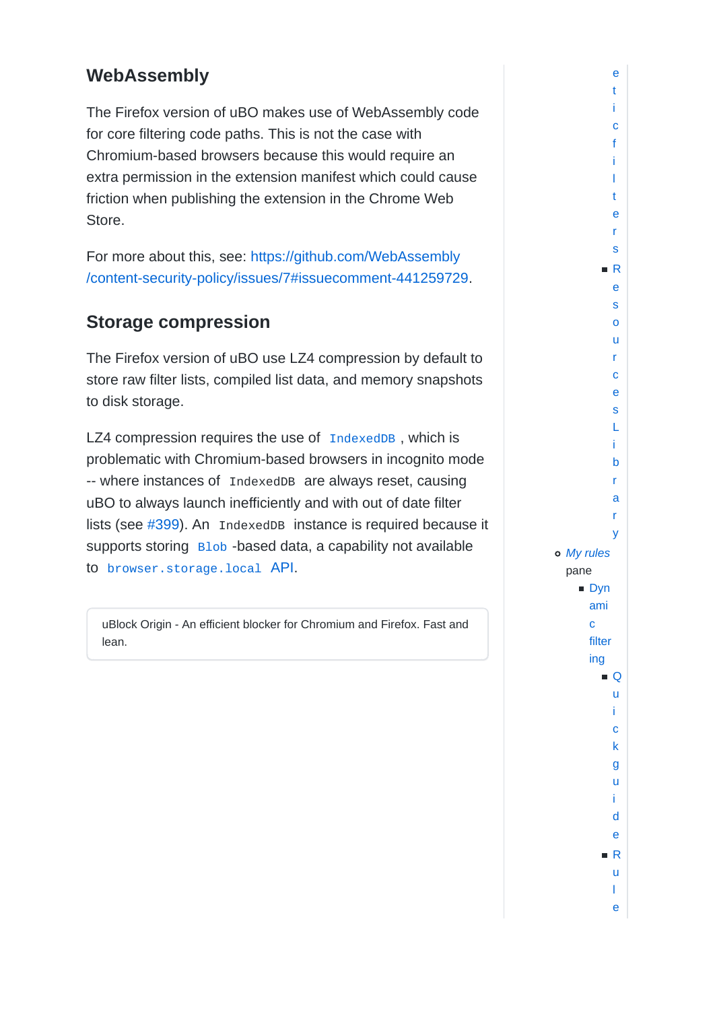### **WebAssembly**

The Firefox version of uBO makes use of WebAssembly code for core filtering code paths. This is not the case with Chromium-based browsers because this would require an extra permission in the extension manifest which could cause friction when publishing the extension in the Chrome Web Store.

For more about this, see: https://github.com/WebAssembly /content-security-policy/issues/7#issuecomment-441259729.

# **Storage compression**

The Firefox version of uBO use LZ4 compression by default to store raw filter lists, compiled list data, and memory snapshots to disk storage.

LZ4 compression requires the use of IndexedDB, which is problematic with Chromium-based browsers in incognito mode -- where instances of IndexedDB are always reset, causing uBO to always launch inefficiently and with out of date filter lists (see #399). An IndexedDB instance is required because it supports storing Blob -based data, a capability not available to browser.storage.local API.

uBlock Origin - An efficient blocker for Chromium and Firefox. Fast and lean.

i c f i l t e r s R e s o u r c e s L i b r a r y *My rules* pane **Dyn** ami c filter ing  $\blacksquare$   $\bigcirc$ u i c k g u i d e R u l e

e t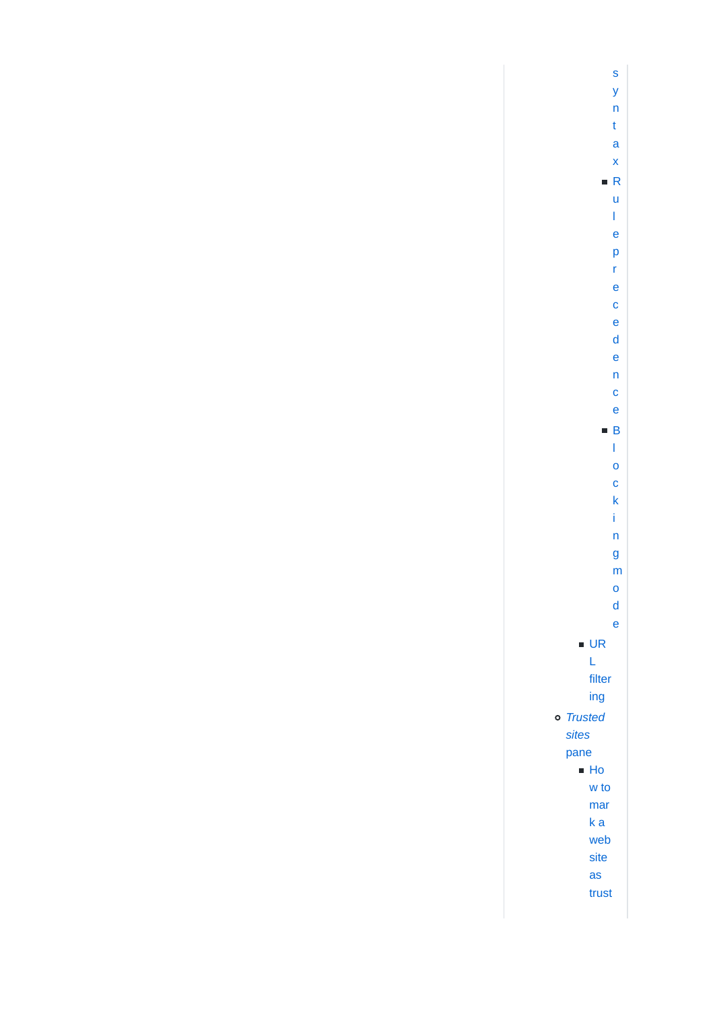s y n t a x R u l e p r e c e d e n c e B l o c k i n g m o d e ■ UR L filter ing *Trusted sites* pane  $H_0$ w to mar k a web site as trust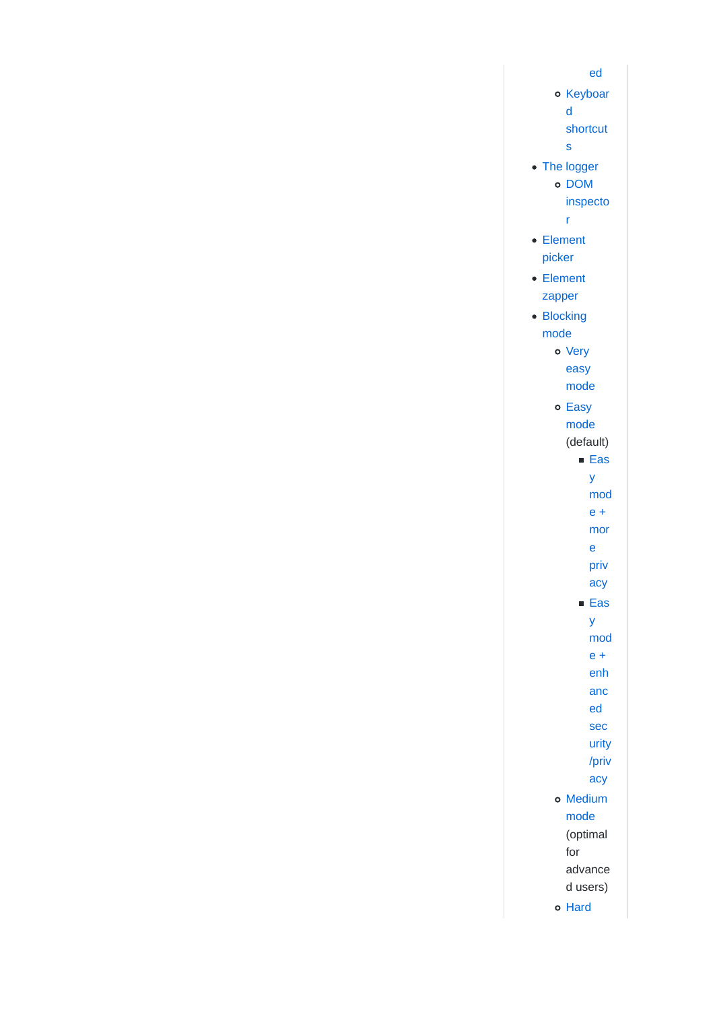ed o Keyboar d shortcut s • The logger o DOM inspecto r Element picker Element zapper • Blocking mode o Very easy mode o Easy mode (default) **Eas** y mod e + mor e priv acy **Eas** y mod  $e +$ enh anc ed sec urity /priv acy o Medium mode (optimal for advance d users) o Hard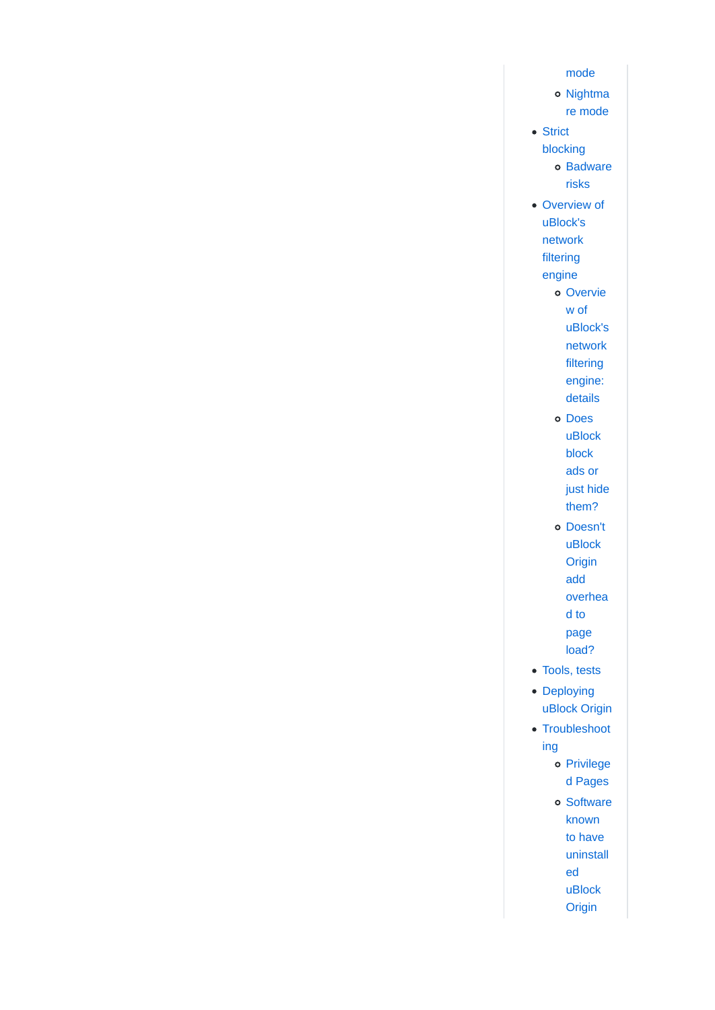- mode
- o Nightma re mode
- Strict blocking o Badware risks
- Overview of uBlock's network filtering
	- engine
		- o Overvie w of uBlock's network filtering engine: details
		- o Does uBlock block ads or just hide them?
		- o Doesn't uBlock Origin add overhea d to page load?
- Tools, tests
- Deploying uBlock Origin
- Troubleshoot ing
	- Privilege d Pages
	- o Software known to have uninstall ed uBlock
		- Origin